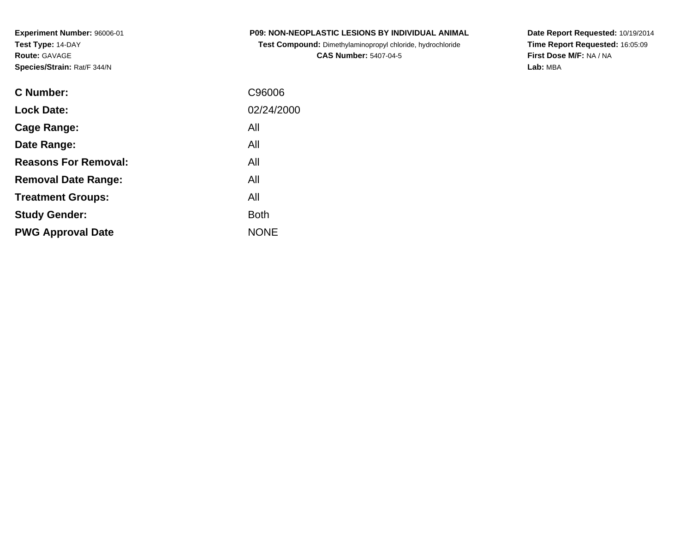**Test Compound:** Dimethylaminopropyl chloride, hydrochloride**CAS Number:** 5407-04-5

**Date Report Requested:** 10/19/2014 **Time Report Requested:** 16:05:09**First Dose M/F:** NA / NA**Lab:** MBA

| <b>C</b> Number:            | C96006      |
|-----------------------------|-------------|
| <b>Lock Date:</b>           | 02/24/2000  |
| Cage Range:                 | All         |
| Date Range:                 | All         |
| <b>Reasons For Removal:</b> | All         |
| <b>Removal Date Range:</b>  | All         |
| <b>Treatment Groups:</b>    | All         |
| <b>Study Gender:</b>        | <b>Both</b> |
| <b>PWG Approval Date</b>    | <b>NONE</b> |
|                             |             |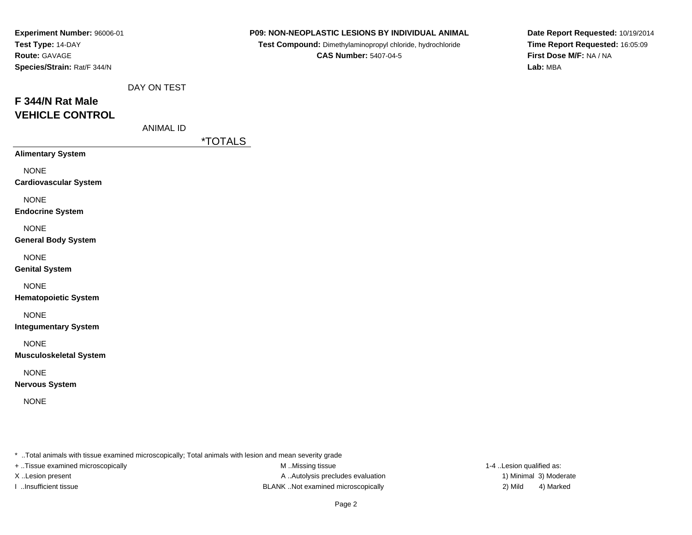| Experiment Number: 96006-01   |                  |                | P09: NON-NEOPLASTIC LESIONS BY INDIVIDUAL ANIMAL           | Date Report Requested: 10/19/2014 |
|-------------------------------|------------------|----------------|------------------------------------------------------------|-----------------------------------|
| Test Type: 14-DAY             |                  |                | Test Compound: Dimethylaminopropyl chloride, hydrochloride | Time Report Requested: 16:05:09   |
| Route: GAVAGE                 |                  |                | <b>CAS Number: 5407-04-5</b>                               | First Dose M/F: NA / NA           |
| Species/Strain: Rat/F 344/N   |                  |                |                                                            | Lab: MBA                          |
|                               | DAY ON TEST      |                |                                                            |                                   |
| F 344/N Rat Male              |                  |                |                                                            |                                   |
| <b>VEHICLE CONTROL</b>        |                  |                |                                                            |                                   |
|                               | <b>ANIMAL ID</b> |                |                                                            |                                   |
|                               |                  | <u>*TOTALS</u> |                                                            |                                   |
| <b>Alimentary System</b>      |                  |                |                                                            |                                   |
| <b>NONE</b>                   |                  |                |                                                            |                                   |
| <b>Cardiovascular System</b>  |                  |                |                                                            |                                   |
| <b>NONE</b>                   |                  |                |                                                            |                                   |
| <b>Endocrine System</b>       |                  |                |                                                            |                                   |
| <b>NONE</b>                   |                  |                |                                                            |                                   |
| <b>General Body System</b>    |                  |                |                                                            |                                   |
| <b>NONE</b>                   |                  |                |                                                            |                                   |
| <b>Genital System</b>         |                  |                |                                                            |                                   |
| <b>NONE</b>                   |                  |                |                                                            |                                   |
| <b>Hematopoietic System</b>   |                  |                |                                                            |                                   |
| <b>NONE</b>                   |                  |                |                                                            |                                   |
| <b>Integumentary System</b>   |                  |                |                                                            |                                   |
| <b>NONE</b>                   |                  |                |                                                            |                                   |
| <b>Musculoskeletal System</b> |                  |                |                                                            |                                   |
| <b>NONE</b>                   |                  |                |                                                            |                                   |
| <b>Nervous System</b>         |                  |                |                                                            |                                   |
| <b>NONE</b>                   |                  |                |                                                            |                                   |
|                               |                  |                |                                                            |                                   |
|                               |                  |                |                                                            |                                   |
|                               |                  |                |                                                            |                                   |

+ ..Tissue examined microscopically

M ..Missing tissue X..Lesion present **A ..Autolysis precludes evaluation** A ..Autolysis precludes evaluation 1) Minimal 3) Moderate I ..Insufficient tissue BLANK ..Not examined microscopically 2) Mild 4) Marked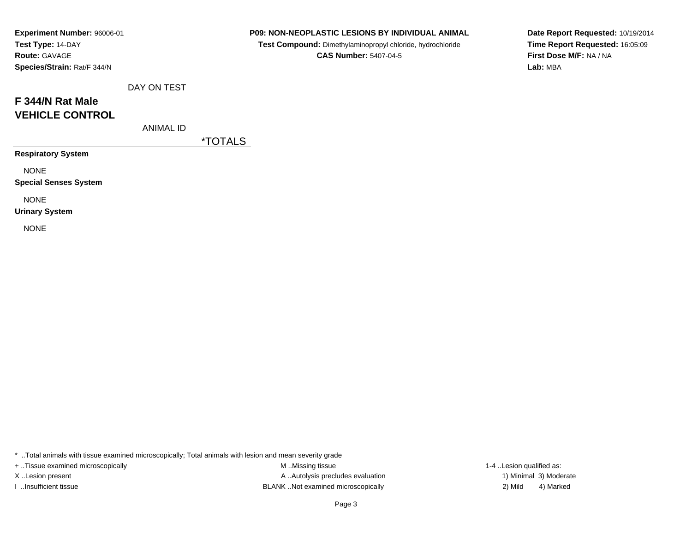| Experiment Number: 96006-01 |
|-----------------------------|
| Test Type: 14-DAY           |
| <b>Route: GAVAGE</b>        |
| Species/Strain: Rat/F 344/N |

**Test Compound:** Dimethylaminopropyl chloride, hydrochloride**CAS Number:** 5407-04-5

**Date Report Requested:** 10/19/2014**Time Report Requested:** 16:05:09**First Dose M/F:** NA / NA**Lab:** MBA

# **F 344/N Rat MaleVEHICLE CONTROL**

ANIMAL ID

DAY ON TEST

\*TOTALS

**Respiratory System**

NONE

**Special Senses System**

NONE

**Urinary System**

NONE

\* ..Total animals with tissue examined microscopically; Total animals with lesion and mean severity grade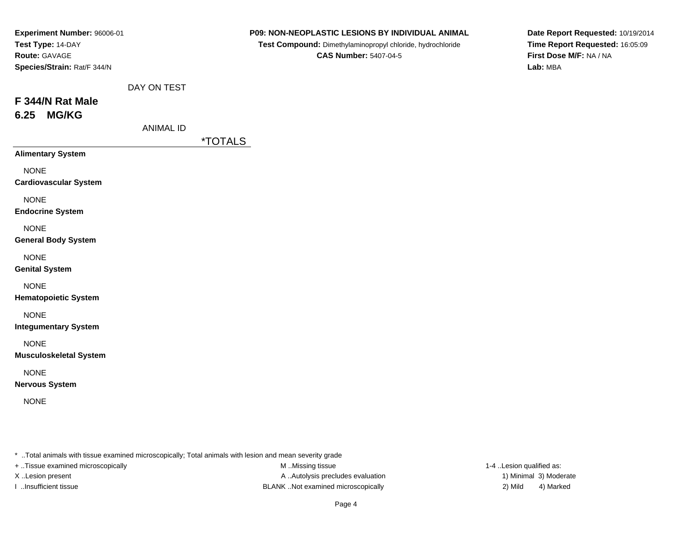| Experiment Number: 96006-01<br>Test Type: 14-DAY<br>Route: GAVAGE<br>Species/Strain: Rat/F 344/N |                  |                       | P09: NON-NEOPLASTIC LESIONS BY INDIVIDUAL ANIMAL<br>Test Compound: Dimethylaminopropyl chloride, hydrochloride<br><b>CAS Number: 5407-04-5</b> | Date Report Requested: 10/19/2014<br>Time Report Requested: 16:05:09<br>First Dose M/F: NA / NA<br>Lab: MBA |  |
|--------------------------------------------------------------------------------------------------|------------------|-----------------------|------------------------------------------------------------------------------------------------------------------------------------------------|-------------------------------------------------------------------------------------------------------------|--|
|                                                                                                  | DAY ON TEST      |                       |                                                                                                                                                |                                                                                                             |  |
| F 344/N Rat Male                                                                                 |                  |                       |                                                                                                                                                |                                                                                                             |  |
| <b>MG/KG</b><br>6.25                                                                             |                  |                       |                                                                                                                                                |                                                                                                             |  |
|                                                                                                  | <b>ANIMAL ID</b> | <i><b>*TOTALS</b></i> |                                                                                                                                                |                                                                                                             |  |
| <b>Alimentary System</b>                                                                         |                  |                       |                                                                                                                                                |                                                                                                             |  |
| <b>NONE</b><br><b>Cardiovascular System</b>                                                      |                  |                       |                                                                                                                                                |                                                                                                             |  |
| <b>NONE</b><br><b>Endocrine System</b>                                                           |                  |                       |                                                                                                                                                |                                                                                                             |  |
| <b>NONE</b><br><b>General Body System</b>                                                        |                  |                       |                                                                                                                                                |                                                                                                             |  |
| <b>NONE</b><br><b>Genital System</b>                                                             |                  |                       |                                                                                                                                                |                                                                                                             |  |
| <b>NONE</b><br><b>Hematopoietic System</b>                                                       |                  |                       |                                                                                                                                                |                                                                                                             |  |
| <b>NONE</b><br><b>Integumentary System</b>                                                       |                  |                       |                                                                                                                                                |                                                                                                             |  |
| <b>NONE</b><br><b>Musculoskeletal System</b>                                                     |                  |                       |                                                                                                                                                |                                                                                                             |  |
| <b>NONE</b><br><b>Nervous System</b>                                                             |                  |                       |                                                                                                                                                |                                                                                                             |  |
| <b>NONE</b>                                                                                      |                  |                       |                                                                                                                                                |                                                                                                             |  |
|                                                                                                  |                  |                       |                                                                                                                                                |                                                                                                             |  |

+ ..Tissue examined microscopically

M ..Missing tissue X..Lesion present **A ..Autolysis precludes evaluation** A ..Autolysis precludes evaluation 1) Minimal 3) Moderate I ..Insufficient tissue BLANK ..Not examined microscopically 2) Mild 4) Marked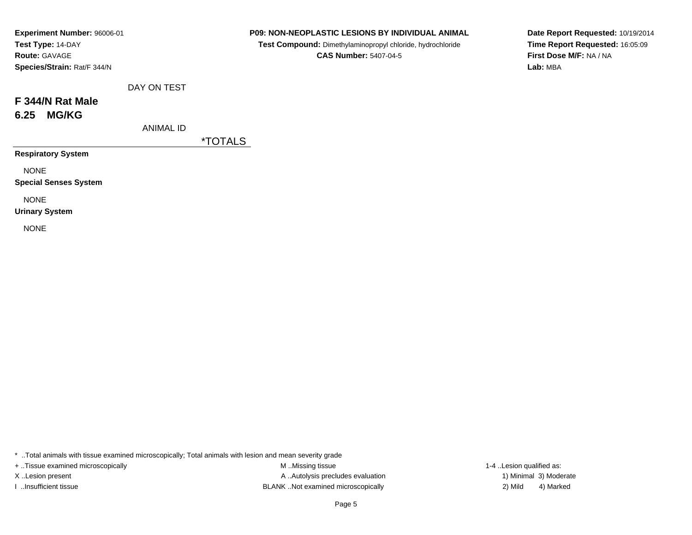| Experiment Number: 96006-01 |
|-----------------------------|
| Test Type: 14-DAY           |
| <b>Route: GAVAGE</b>        |
| Species/Strain: Rat/F 344/N |

**Test Compound:** Dimethylaminopropyl chloride, hydrochloride**CAS Number:** 5407-04-5

**Date Report Requested:** 10/19/2014**Time Report Requested:** 16:05:09**First Dose M/F:** NA / NA**Lab:** MBA

| F 344/N Rat Male |
|------------------|
| 6.25 MG/KG       |

ANIMAL ID

DAY ON TEST

\*TOTALS

**Respiratory System**

NONE

**Special Senses System**

NONE

**Urinary System**

NONE

\* ..Total animals with tissue examined microscopically; Total animals with lesion and mean severity grade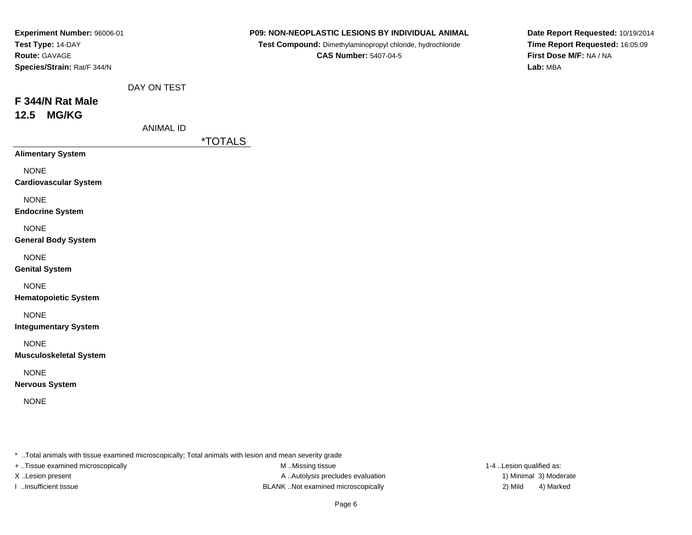| Experiment Number: 96006-01<br>Test Type: 14-DAY<br>Route: GAVAGE<br>Species/Strain: Rat/F 344/N |                  |                       | P09: NON-NEOPLASTIC LESIONS BY INDIVIDUAL ANIMAL<br>Test Compound: Dimethylaminopropyl chloride, hydrochloride<br><b>CAS Number: 5407-04-5</b> | Date Report Requested: 10/19/2014<br>Time Report Requested: 16:05:09<br>First Dose M/F: NA / NA<br>Lab: MBA |
|--------------------------------------------------------------------------------------------------|------------------|-----------------------|------------------------------------------------------------------------------------------------------------------------------------------------|-------------------------------------------------------------------------------------------------------------|
|                                                                                                  | DAY ON TEST      |                       |                                                                                                                                                |                                                                                                             |
| F 344/N Rat Male<br><b>MG/KG</b><br>12.5                                                         |                  |                       |                                                                                                                                                |                                                                                                             |
|                                                                                                  | <b>ANIMAL ID</b> | <i><b>*TOTALS</b></i> |                                                                                                                                                |                                                                                                             |
| <b>Alimentary System</b>                                                                         |                  |                       |                                                                                                                                                |                                                                                                             |
| <b>NONE</b><br><b>Cardiovascular System</b>                                                      |                  |                       |                                                                                                                                                |                                                                                                             |
| <b>NONE</b><br><b>Endocrine System</b>                                                           |                  |                       |                                                                                                                                                |                                                                                                             |
| <b>NONE</b><br><b>General Body System</b>                                                        |                  |                       |                                                                                                                                                |                                                                                                             |
| <b>NONE</b><br><b>Genital System</b>                                                             |                  |                       |                                                                                                                                                |                                                                                                             |
| <b>NONE</b><br><b>Hematopoietic System</b>                                                       |                  |                       |                                                                                                                                                |                                                                                                             |
| <b>NONE</b><br><b>Integumentary System</b>                                                       |                  |                       |                                                                                                                                                |                                                                                                             |
| <b>NONE</b><br><b>Musculoskeletal System</b>                                                     |                  |                       |                                                                                                                                                |                                                                                                             |
| <b>NONE</b><br><b>Nervous System</b>                                                             |                  |                       |                                                                                                                                                |                                                                                                             |
| <b>NONE</b>                                                                                      |                  |                       |                                                                                                                                                |                                                                                                             |
|                                                                                                  |                  |                       |                                                                                                                                                |                                                                                                             |

+ ..Tissue examined microscopically

M ..Missing tissue X..Lesion present **A ..Autolysis precludes evaluation** A ..Autolysis precludes evaluation 1) Minimal 3) Moderate I ..Insufficient tissue BLANK ..Not examined microscopically 2) Mild 4) Marked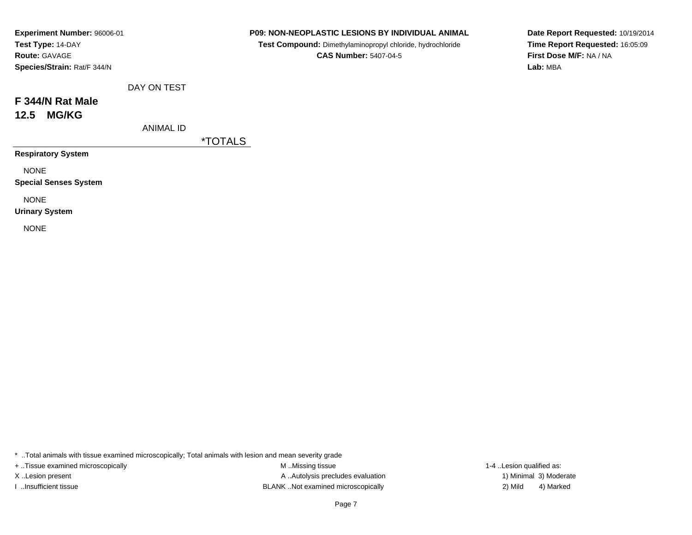| Experiment Number: 96006-01 |  |  |  |  |  |
|-----------------------------|--|--|--|--|--|
| Test Type: 14-DAY           |  |  |  |  |  |
| <b>Route: GAVAGE</b>        |  |  |  |  |  |
| Species/Strain: Rat/F 344/N |  |  |  |  |  |

**Test Compound:** Dimethylaminopropyl chloride, hydrochloride**CAS Number:** 5407-04-5

**Date Report Requested:** 10/19/2014**Time Report Requested:** 16:05:09**First Dose M/F:** NA / NA**Lab:** MBA

| F 344/N Rat Male |              |  |
|------------------|--------------|--|
| 12.5             | <b>MG/KG</b> |  |

ANIMAL ID

DAY ON TEST

\*TOTALS

**Respiratory System**

NONE

**Special Senses System**

NONE

**Urinary System**

NONE

\* ..Total animals with tissue examined microscopically; Total animals with lesion and mean severity grade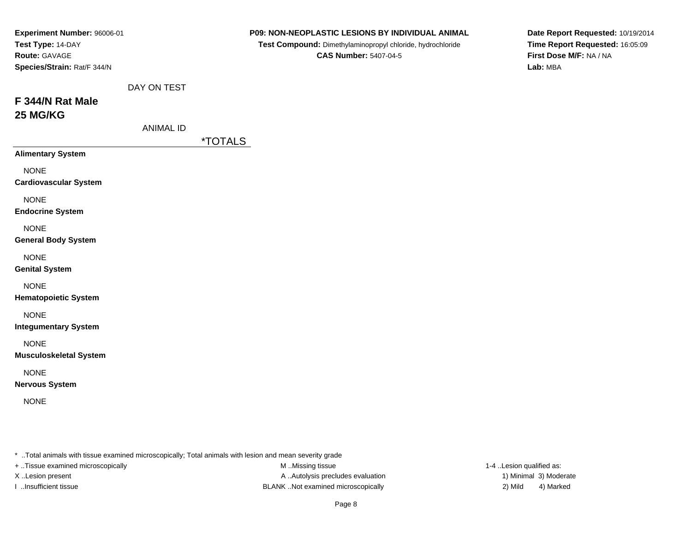| Experiment Number: 96006-01<br>Test Type: 14-DAY<br>Route: GAVAGE<br>Species/Strain: Rat/F 344/N |                                 |                       | P09: NON-NEOPLASTIC LESIONS BY INDIVIDUAL ANIMAL<br>Test Compound: Dimethylaminopropyl chloride, hydrochloride<br><b>CAS Number: 5407-04-5</b> | Date Report Requested: 10/19/2014<br>Time Report Requested: 16:05:09<br>First Dose M/F: NA / NA<br>Lab: MBA |
|--------------------------------------------------------------------------------------------------|---------------------------------|-----------------------|------------------------------------------------------------------------------------------------------------------------------------------------|-------------------------------------------------------------------------------------------------------------|
| F 344/N Rat Male<br>25 MG/KG                                                                     | DAY ON TEST<br><b>ANIMAL ID</b> |                       |                                                                                                                                                |                                                                                                             |
|                                                                                                  |                                 | <i><b>*TOTALS</b></i> |                                                                                                                                                |                                                                                                             |
| <b>Alimentary System</b>                                                                         |                                 |                       |                                                                                                                                                |                                                                                                             |
| <b>NONE</b><br><b>Cardiovascular System</b>                                                      |                                 |                       |                                                                                                                                                |                                                                                                             |
| <b>NONE</b><br><b>Endocrine System</b>                                                           |                                 |                       |                                                                                                                                                |                                                                                                             |
| <b>NONE</b><br><b>General Body System</b>                                                        |                                 |                       |                                                                                                                                                |                                                                                                             |
| <b>NONE</b><br><b>Genital System</b>                                                             |                                 |                       |                                                                                                                                                |                                                                                                             |
| <b>NONE</b><br><b>Hematopoietic System</b>                                                       |                                 |                       |                                                                                                                                                |                                                                                                             |
| <b>NONE</b><br><b>Integumentary System</b>                                                       |                                 |                       |                                                                                                                                                |                                                                                                             |
| <b>NONE</b><br><b>Musculoskeletal System</b>                                                     |                                 |                       |                                                                                                                                                |                                                                                                             |
| <b>NONE</b><br><b>Nervous System</b>                                                             |                                 |                       |                                                                                                                                                |                                                                                                             |
| <b>NONE</b>                                                                                      |                                 |                       |                                                                                                                                                |                                                                                                             |
|                                                                                                  |                                 |                       |                                                                                                                                                |                                                                                                             |

+ ..Tissue examined microscopically

M ..Missing tissue X..Lesion present **A ..Autolysis precludes evaluation** A ..Autolysis precludes evaluation 1) Minimal 3) Moderate I ..Insufficient tissue BLANK ..Not examined microscopically 2) Mild 4) Marked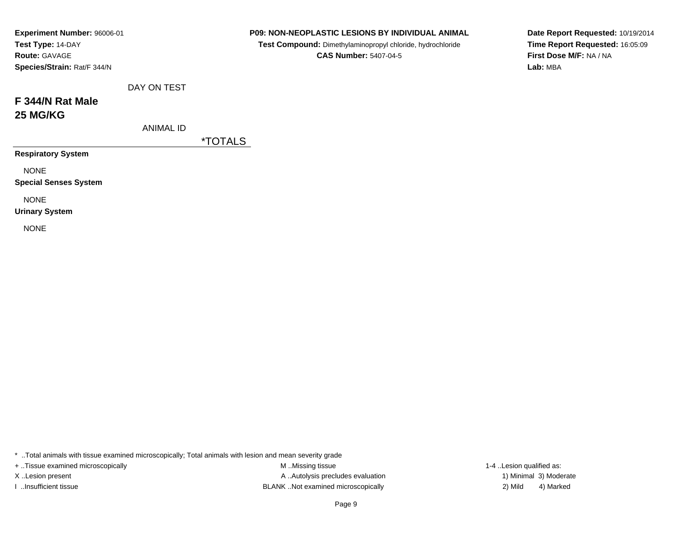| Experiment Number: 96006-01<br>Test Type: 14-DAY |                  |                       | <b>P09: NON-NEOPLASTIC LESIONS BY INDIVIDUAL ANIMAL</b><br>Test Compound: Dimethylaminopropyl chloride, hydrochloride |
|--------------------------------------------------|------------------|-----------------------|-----------------------------------------------------------------------------------------------------------------------|
| <b>Route: GAVAGE</b>                             |                  |                       | <b>CAS Number: 5407-04-5</b>                                                                                          |
| Species/Strain: Rat/F 344/N                      |                  |                       |                                                                                                                       |
|                                                  | DAY ON TEST      |                       |                                                                                                                       |
| F 344/N Rat Male                                 |                  |                       |                                                                                                                       |
| <b>25 MG/KG</b>                                  |                  |                       |                                                                                                                       |
|                                                  | <b>ANIMAL ID</b> |                       |                                                                                                                       |
|                                                  |                  | <i><b>*TOTALS</b></i> |                                                                                                                       |
| <b>Respiratory System</b>                        |                  |                       |                                                                                                                       |
| <b>NONE</b>                                      |                  |                       |                                                                                                                       |
| <b>Special Senses System</b>                     |                  |                       |                                                                                                                       |
| <b>NONE</b>                                      |                  |                       |                                                                                                                       |
| <b>Urinary System</b>                            |                  |                       |                                                                                                                       |
| <b>NONE</b>                                      |                  |                       |                                                                                                                       |
|                                                  |                  |                       |                                                                                                                       |
|                                                  |                  |                       |                                                                                                                       |

**Date Report Requested:** 10/19/2014**Time Report Requested:** 16:05:09**First Dose M/F:** NA / NA**Lab:** MBA

| . Total animals with tissue examined microscopically; Total animals with lesion and mean severity grade |  |
|---------------------------------------------------------------------------------------------------------|--|
|---------------------------------------------------------------------------------------------------------|--|

+ ..Tissue examined microscopically **M** ..Missing tissue

X..Lesion present **A ..Autolysis precludes evaluation** A ..Autolysis precludes evaluation 1) Minimal 3) Moderate I ..Insufficient tissue 2) Mild ...Insufficient tissue 2) Mild

1-4 ..Lesion qualified as: 4) Marked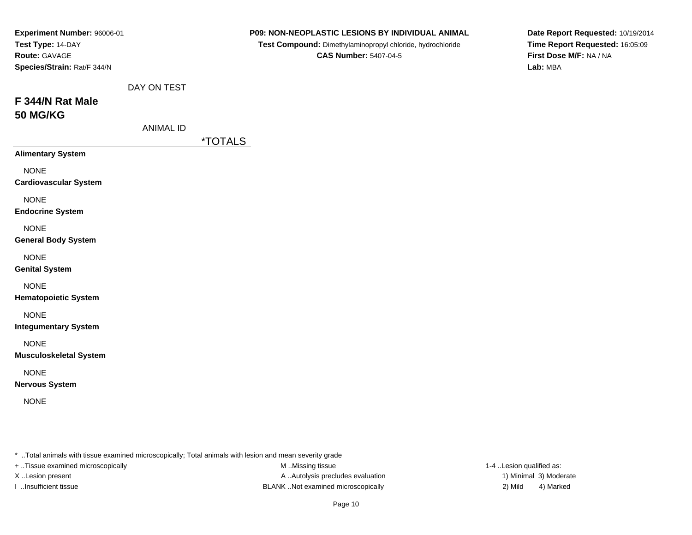| Experiment Number: 96006-01<br>Test Type: 14-DAY<br>Route: GAVAGE<br>Species/Strain: Rat/F 344/N |                                 |                       | P09: NON-NEOPLASTIC LESIONS BY INDIVIDUAL ANIMAL<br>Test Compound: Dimethylaminopropyl chloride, hydrochloride<br><b>CAS Number: 5407-04-5</b> | Date Report Requested: 10/19/2014<br>Time Report Requested: 16:05:09<br>First Dose M/F: NA / NA<br>Lab: MBA |
|--------------------------------------------------------------------------------------------------|---------------------------------|-----------------------|------------------------------------------------------------------------------------------------------------------------------------------------|-------------------------------------------------------------------------------------------------------------|
| F 344/N Rat Male<br><b>50 MG/KG</b>                                                              | DAY ON TEST<br><b>ANIMAL ID</b> |                       |                                                                                                                                                |                                                                                                             |
| <b>Alimentary System</b>                                                                         |                                 | <i><b>*TOTALS</b></i> |                                                                                                                                                |                                                                                                             |
| <b>NONE</b><br><b>Cardiovascular System</b>                                                      |                                 |                       |                                                                                                                                                |                                                                                                             |
| <b>NONE</b><br><b>Endocrine System</b>                                                           |                                 |                       |                                                                                                                                                |                                                                                                             |
| <b>NONE</b><br><b>General Body System</b>                                                        |                                 |                       |                                                                                                                                                |                                                                                                             |
| <b>NONE</b><br><b>Genital System</b>                                                             |                                 |                       |                                                                                                                                                |                                                                                                             |
| <b>NONE</b><br><b>Hematopoietic System</b>                                                       |                                 |                       |                                                                                                                                                |                                                                                                             |
| <b>NONE</b><br><b>Integumentary System</b>                                                       |                                 |                       |                                                                                                                                                |                                                                                                             |
| <b>NONE</b><br><b>Musculoskeletal System</b>                                                     |                                 |                       |                                                                                                                                                |                                                                                                             |
| <b>NONE</b><br><b>Nervous System</b>                                                             |                                 |                       |                                                                                                                                                |                                                                                                             |
| <b>NONE</b>                                                                                      |                                 |                       |                                                                                                                                                |                                                                                                             |
|                                                                                                  |                                 |                       |                                                                                                                                                |                                                                                                             |

+ ..Tissue examined microscopically

M ..Missing tissue X..Lesion present **A ..Autolysis precludes evaluation** A ..Autolysis precludes evaluation 1) Minimal 3) Moderate I ..Insufficient tissue BLANK ..Not examined microscopically 2) Mild 4) Marked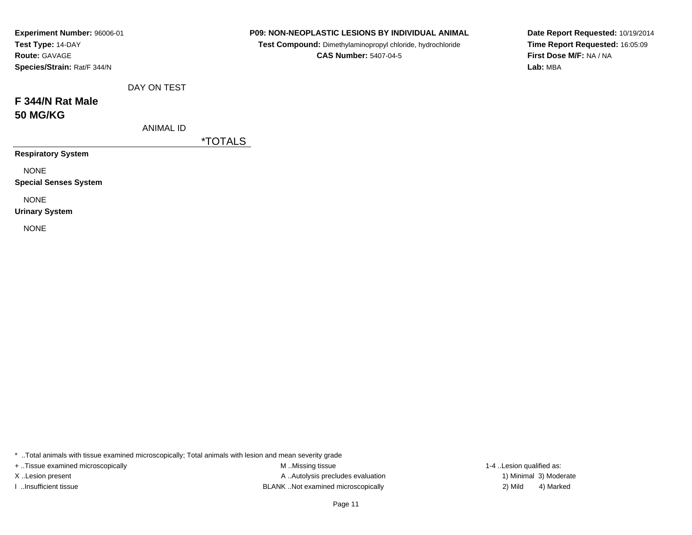| Experiment Number: 96006-01<br>Test Type: 14-DAY<br><b>Route: GAVAGE</b><br>Species/Strain: Rat/F 344/N |                  |                       | P09: NON-NEOPLASTIC LESIONS BY INDIVIDUAL ANIMAL<br>Test Compound: Dimethylaminopropyl chloride, hydrochloride<br><b>CAS Number: 5407-04-5</b> | Lab: MBA | Date Report Requested: 10/19/2014<br>Time Report Requested: 16:05:09<br>First Dose M/F: NA / NA |
|---------------------------------------------------------------------------------------------------------|------------------|-----------------------|------------------------------------------------------------------------------------------------------------------------------------------------|----------|-------------------------------------------------------------------------------------------------|
|                                                                                                         | DAY ON TEST      |                       |                                                                                                                                                |          |                                                                                                 |
| F 344/N Rat Male<br><b>50 MG/KG</b>                                                                     |                  |                       |                                                                                                                                                |          |                                                                                                 |
|                                                                                                         | <b>ANIMAL ID</b> | <i><b>*TOTALS</b></i> |                                                                                                                                                |          |                                                                                                 |
| <b>Respiratory System</b>                                                                               |                  |                       |                                                                                                                                                |          |                                                                                                 |
| <b>NONE</b><br><b>Special Senses System</b>                                                             |                  |                       |                                                                                                                                                |          |                                                                                                 |
| <b>NONE</b><br><b>Urinary System</b>                                                                    |                  |                       |                                                                                                                                                |          |                                                                                                 |
| <b>NONE</b>                                                                                             |                  |                       |                                                                                                                                                |          |                                                                                                 |

+ ..Tissue examined microscopically

M ..Missing tissue X..Lesion present **A ..Autolysis precludes evaluation** A ..Autolysis precludes evaluation 1) Minimal 3) Moderate I ..Insufficient tissue BLANK ..Not examined microscopically 2) Mild 4) Marked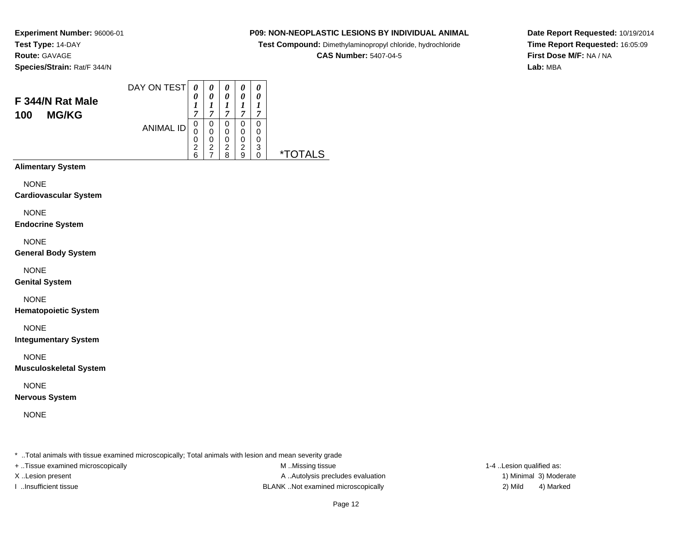### **P09: NON-NEOPLASTIC LESIONS BY INDIVIDUAL ANIMAL**

**Test Compound:** Dimethylaminopropyl chloride, hydrochloride

**CAS Number:** 5407-04-5

**Date Report Requested:** 10/19/2014**Time Report Requested:** 16:05:09**First Dose M/F:** NA / NA**Lab:** MBA

| F 344/N Rat Male<br><b>MG/KG</b><br>100 | DAY ON TEST      | 0<br>1<br>7                        | 0<br>0<br>7                   | 0<br>0<br>1<br>7      | 0<br>0<br>7           | 0<br>0<br>7                  |             |
|-----------------------------------------|------------------|------------------------------------|-------------------------------|-----------------------|-----------------------|------------------------------|-------------|
|                                         | <b>ANIMAL ID</b> | 0<br>0<br>0<br>$\overline{2}$<br>6 | 0<br>0<br>0<br>$\overline{2}$ | 0<br>0<br>0<br>2<br>8 | 0<br>0<br>0<br>2<br>9 | 0<br>0<br>0<br>3<br>$\Omega$ | TAI S<br>∗⊤ |
| <b>Alimentary System</b>                |                  |                                    |                               |                       |                       |                              |             |

NONE

**Cardiovascular System**

NONE

**Endocrine System**

NONE

**General Body System**

NONE

**Genital System**

NONE

**Hematopoietic System**

NONE

**Integumentary System**

NONE

**Musculoskeletal System**

NONE

**Nervous System**

NONE

\* ..Total animals with tissue examined microscopically; Total animals with lesion and mean severity grade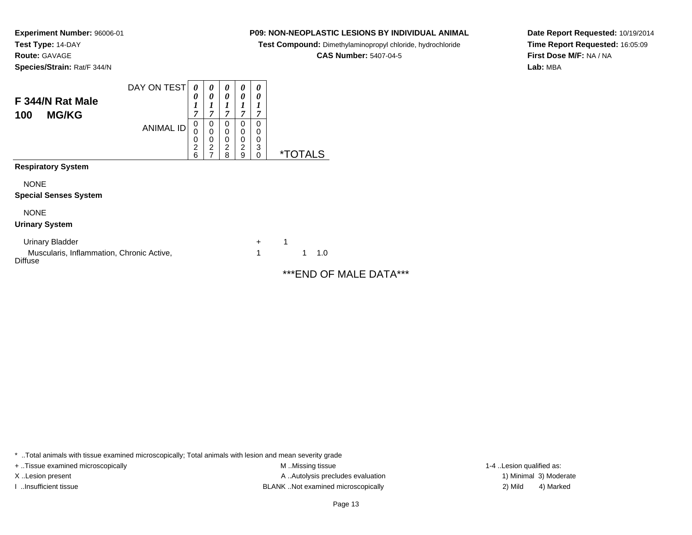### **P09: NON-NEOPLASTIC LESIONS BY INDIVIDUAL ANIMAL**

**Test Compound:** Dimethylaminopropyl chloride, hydrochloride

**CAS Number:** 5407-04-5

**Date Report Requested:** 10/19/2014**Time Report Requested:** 16:05:09**First Dose M/F:** NA / NA**Lab:** MBA

| F 344/N Rat Male<br><b>MG/KG</b><br>100  | DAY ON TEST      | 0<br>0<br>1<br>7                   | 0<br>0<br>1<br>7                   | 0<br>0<br>1<br>7                   | 0<br>0<br>1<br>7                   | 0<br>0<br>7           |                       |
|------------------------------------------|------------------|------------------------------------|------------------------------------|------------------------------------|------------------------------------|-----------------------|-----------------------|
|                                          | <b>ANIMAL ID</b> | 0<br>0<br>0<br>$\overline{c}$<br>6 | 0<br>0<br>0<br>$\overline{c}$<br>7 | 0<br>0<br>0<br>$\overline{c}$<br>8 | 0<br>0<br>0<br>$\overline{2}$<br>9 | 0<br>0<br>0<br>3<br>0 | <i><b>*TOTALS</b></i> |
| <b>Respiratory System</b><br><b>NONE</b> |                  |                                    |                                    |                                    |                                    |                       |                       |
| <b>Special Senses System</b>             |                  |                                    |                                    |                                    |                                    |                       |                       |
| <b>NONE</b><br><b>Urinary System</b>     |                  |                                    |                                    |                                    |                                    |                       |                       |

Urinary Bladder $\mathsf{r}$  + 1 Muscularis, Inflammation, Chronic Active,**Diffuse** 

1<sup>1</sup> 1.0

\*\*\*END OF MALE DATA\*\*\*

\* ..Total animals with tissue examined microscopically; Total animals with lesion and mean severity grade

+ ..Tissue examined microscopically examined microscopically examined as:  $M$  ..Missing tissue 1-4 ..Lesion qualified as:

X..Lesion present **A ..Autolysis precludes evaluation** A ..Autolysis precludes evaluation 1) Minimal 3) Moderate I ..Insufficient tissue BLANK ..Not examined microscopically 2) Mild 4) Marked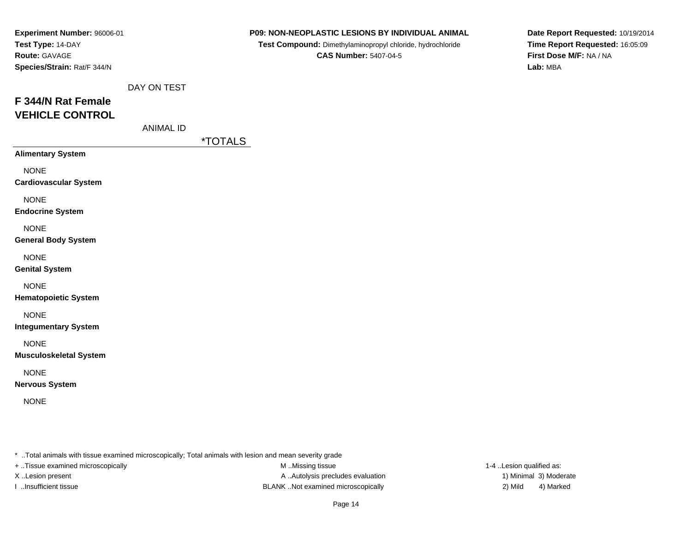| Experiment Number: 96006-01                  |                  |                       | P09: NON-NEOPLASTIC LESIONS BY INDIVIDUAL ANIMAL                                           | Date Report Requested: 10/19/2014                          |
|----------------------------------------------|------------------|-----------------------|--------------------------------------------------------------------------------------------|------------------------------------------------------------|
| Test Type: 14-DAY<br>Route: GAVAGE           |                  |                       | Test Compound: Dimethylaminopropyl chloride, hydrochloride<br><b>CAS Number: 5407-04-5</b> | Time Report Requested: 16:05:09<br>First Dose M/F: NA / NA |
| Species/Strain: Rat/F 344/N                  |                  |                       |                                                                                            | Lab: MBA                                                   |
|                                              |                  |                       |                                                                                            |                                                            |
|                                              | DAY ON TEST      |                       |                                                                                            |                                                            |
| F 344/N Rat Female                           |                  |                       |                                                                                            |                                                            |
| <b>VEHICLE CONTROL</b>                       |                  |                       |                                                                                            |                                                            |
|                                              | <b>ANIMAL ID</b> |                       |                                                                                            |                                                            |
|                                              |                  | <i><b>*TOTALS</b></i> |                                                                                            |                                                            |
| <b>Alimentary System</b>                     |                  |                       |                                                                                            |                                                            |
| <b>NONE</b>                                  |                  |                       |                                                                                            |                                                            |
| <b>Cardiovascular System</b>                 |                  |                       |                                                                                            |                                                            |
| <b>NONE</b>                                  |                  |                       |                                                                                            |                                                            |
| <b>Endocrine System</b>                      |                  |                       |                                                                                            |                                                            |
| <b>NONE</b>                                  |                  |                       |                                                                                            |                                                            |
| <b>General Body System</b>                   |                  |                       |                                                                                            |                                                            |
| <b>NONE</b>                                  |                  |                       |                                                                                            |                                                            |
| <b>Genital System</b>                        |                  |                       |                                                                                            |                                                            |
| <b>NONE</b>                                  |                  |                       |                                                                                            |                                                            |
| <b>Hematopoietic System</b>                  |                  |                       |                                                                                            |                                                            |
| <b>NONE</b>                                  |                  |                       |                                                                                            |                                                            |
| <b>Integumentary System</b>                  |                  |                       |                                                                                            |                                                            |
|                                              |                  |                       |                                                                                            |                                                            |
| <b>NONE</b><br><b>Musculoskeletal System</b> |                  |                       |                                                                                            |                                                            |
|                                              |                  |                       |                                                                                            |                                                            |
| <b>NONE</b>                                  |                  |                       |                                                                                            |                                                            |
| <b>Nervous System</b>                        |                  |                       |                                                                                            |                                                            |
| <b>NONE</b>                                  |                  |                       |                                                                                            |                                                            |
|                                              |                  |                       |                                                                                            |                                                            |
|                                              |                  |                       |                                                                                            |                                                            |

+ ..Tissue examined microscopically

M ..Missing tissue X..Lesion present **A ..Autolysis precludes evaluation** A ..Autolysis precludes evaluation 1) Minimal 3) Moderate I ..Insufficient tissue BLANK ..Not examined microscopically 2) Mild 4) Marked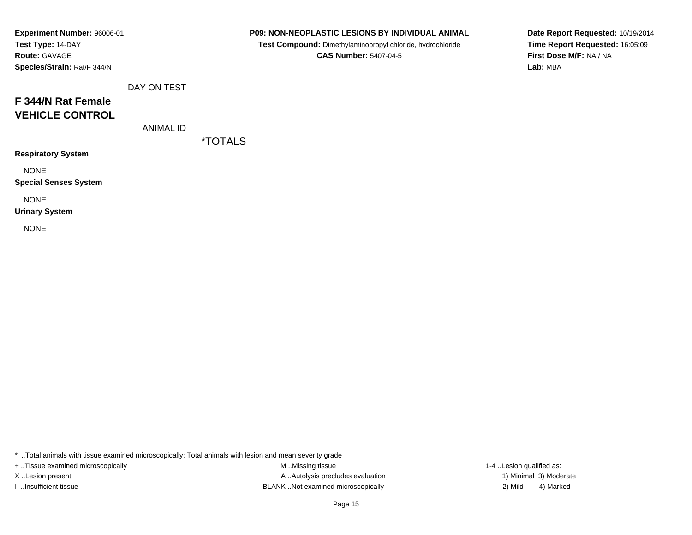| Experiment Number: 96006-01 |
|-----------------------------|
| Test Type: 14-DAY           |
| <b>Route: GAVAGE</b>        |
| Species/Strain: Rat/F 344/N |

**Test Compound:** Dimethylaminopropyl chloride, hydrochloride**CAS Number:** 5407-04-5

**Date Report Requested:** 10/19/2014**Time Report Requested:** 16:05:09**First Dose M/F:** NA / NA**Lab:** MBA

| $B = 1$ $B = 1$ |  |
|-----------------|--|

# **F 344/N Rat FemaleVEHICLE CONTROL**

ANIMAL ID

DAY ON TEST

\*TOTALS

**Respiratory System**

NONE

**Special Senses System**

NONE

**Urinary System**

NONE

\* ..Total animals with tissue examined microscopically; Total animals with lesion and mean severity grade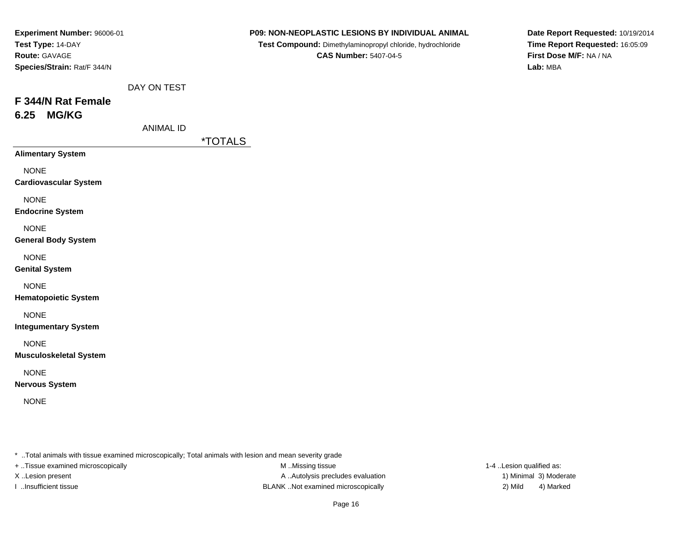| Experiment Number: 96006-01                  |                  | P09: NON-NEOPLASTIC LESIONS BY INDIVIDUAL ANIMAL           | Date Report Requested: 10/19/2014   |
|----------------------------------------------|------------------|------------------------------------------------------------|-------------------------------------|
| Test Type: 14-DAY                            |                  | Test Compound: Dimethylaminopropyl chloride, hydrochloride | Time Report Requested: 16:05:09     |
| Route: GAVAGE<br>Species/Strain: Rat/F 344/N |                  | <b>CAS Number: 5407-04-5</b>                               | First Dose M/F: NA / NA<br>Lab: MBA |
|                                              | DAY ON TEST      |                                                            |                                     |
| F 344/N Rat Female                           |                  |                                                            |                                     |
| 6.25 MG/KG                                   |                  |                                                            |                                     |
|                                              | <b>ANIMAL ID</b> |                                                            |                                     |
|                                              |                  | <i><b>*TOTALS</b></i>                                      |                                     |
| <b>Alimentary System</b>                     |                  |                                                            |                                     |
| <b>NONE</b>                                  |                  |                                                            |                                     |
| <b>Cardiovascular System</b>                 |                  |                                                            |                                     |
| <b>NONE</b>                                  |                  |                                                            |                                     |
| <b>Endocrine System</b>                      |                  |                                                            |                                     |
| <b>NONE</b>                                  |                  |                                                            |                                     |
| <b>General Body System</b>                   |                  |                                                            |                                     |
| <b>NONE</b>                                  |                  |                                                            |                                     |
| <b>Genital System</b>                        |                  |                                                            |                                     |
| <b>NONE</b>                                  |                  |                                                            |                                     |
| <b>Hematopoietic System</b>                  |                  |                                                            |                                     |
| <b>NONE</b>                                  |                  |                                                            |                                     |
| <b>Integumentary System</b>                  |                  |                                                            |                                     |
| <b>NONE</b>                                  |                  |                                                            |                                     |
| <b>Musculoskeletal System</b>                |                  |                                                            |                                     |
| <b>NONE</b>                                  |                  |                                                            |                                     |
| <b>Nervous System</b>                        |                  |                                                            |                                     |
| <b>NONE</b>                                  |                  |                                                            |                                     |
|                                              |                  |                                                            |                                     |
|                                              |                  |                                                            |                                     |
|                                              |                  |                                                            |                                     |

- \* ..Total animals with tissue examined microscopically; Total animals with lesion and mean severity grade
- + ..Tissue examined microscopically
- 
- 

M ..Missing tissue X..Lesion present **A ..Autolysis precludes evaluation** A ..Autolysis precludes evaluation 1) Minimal 3) Moderate I ..Insufficient tissue BLANK ..Not examined microscopically 2) Mild 4) Marked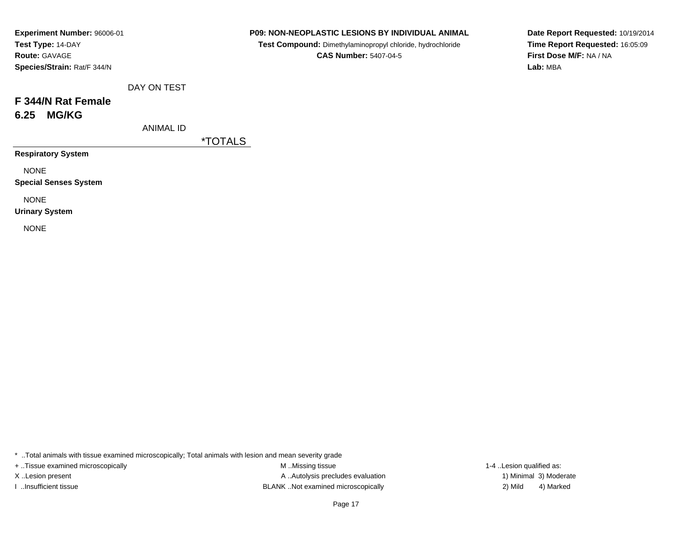| Experiment Number: 96006-01 |
|-----------------------------|
| Test Type: 14-DAY           |
| <b>Route: GAVAGE</b>        |
| Species/Strain: Rat/F 344/N |

**Test Compound:** Dimethylaminopropyl chloride, hydrochloride**CAS Number:** 5407-04-5

**Date Report Requested:** 10/19/2014**Time Report Requested:** 16:05:09**First Dose M/F:** NA / NA**Lab:** MBA

| DAY ON TEST |  |
|-------------|--|
|-------------|--|

# **F 344/N Rat Female6.25 MG/KG**

ANIMAL ID

\*TOTALS

**Respiratory System**

NONE

**Special Senses System**

NONE

**Urinary System**

NONE

\* ..Total animals with tissue examined microscopically; Total animals with lesion and mean severity grade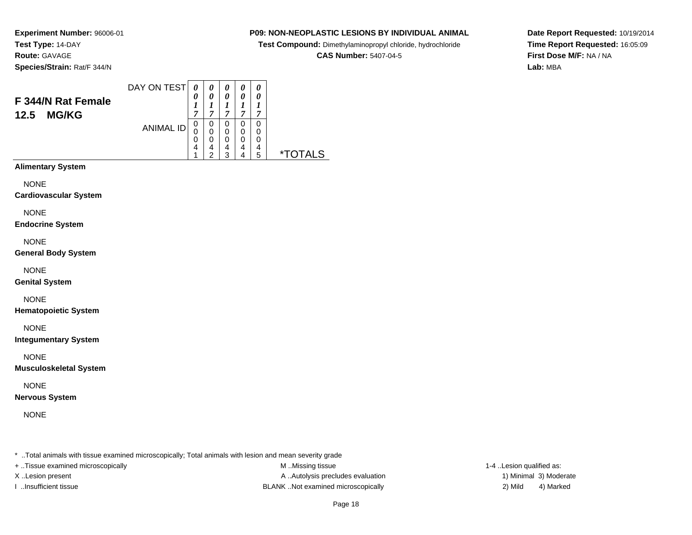### **P09: NON-NEOPLASTIC LESIONS BY INDIVIDUAL ANIMAL**

**Test Compound:** Dimethylaminopropyl chloride, hydrochloride

**CAS Number:** 5407-04-5

**Date Report Requested:** 10/19/2014**Time Report Requested:** 16:05:09**First Dose M/F:** NA / NA**Lab:** MBA

#### DAY ON TEST**F 344/N Rat Female12.5 MG/KG**ANIMAL ID*0 0 1 7* 0 0 0 4 1*0 0 1 7*0<br>0<br>0<br>4<br>2 *0 0 1 7* 0 0 0 4 3*0 0 1 7* 0 0 0 4 4*0 0 1 7* 0 00<br>4<br>5 5 \*TOTALS

**Alimentary System**

**NONE** 

**Cardiovascular System**

NONE

**Endocrine System**

NONE

**General Body System**

NONE

**Genital System**

NONE

**Hematopoietic System**

NONE

**Integumentary System**

NONE

**Musculoskeletal System**

NONE

**Nervous System**

NONE

\* ..Total animals with tissue examined microscopically; Total animals with lesion and mean severity grade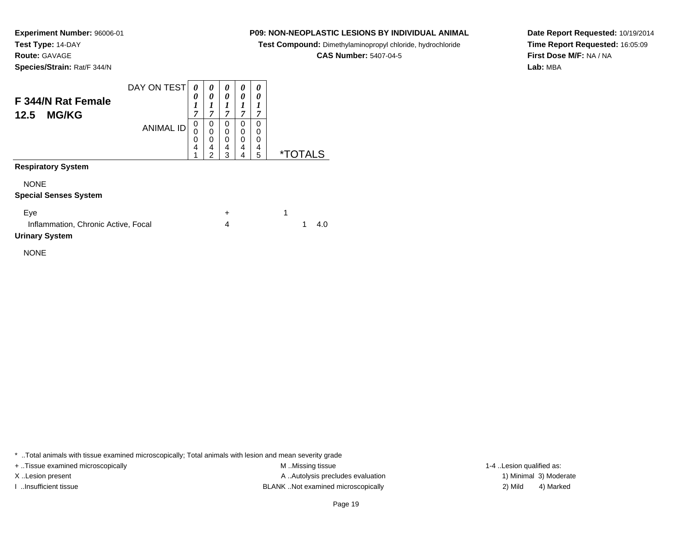### **P09: NON-NEOPLASTIC LESIONS BY INDIVIDUAL ANIMAL**

**Test Compound:** Dimethylaminopropyl chloride, hydrochloride

**CAS Number:** 5407-04-5

**Date Report Requested:** 10/19/2014**Time Report Requested:** 16:05:09**First Dose M/F:** NA / NA**Lab:** MBA

| <b>F 344/N Rat Female</b><br><b>MG/KG</b><br>12.5 | DAY ON TEST      | 0<br>0<br>1<br>7      | 0<br>0<br>ı<br>7                   | 0<br>0<br>7           | 0<br>0<br>⊥<br>7      | 0<br>0<br>7           |    |
|---------------------------------------------------|------------------|-----------------------|------------------------------------|-----------------------|-----------------------|-----------------------|----|
|                                                   | <b>ANIMAL ID</b> | 0<br>0<br>0<br>4<br>4 | 0<br>0<br>0<br>4<br>$\overline{2}$ | 0<br>0<br>0<br>4<br>3 | 0<br>0<br>0<br>4<br>4 | 0<br>0<br>0<br>4<br>5 | ∗⊤ |
| <b>Respiratory System</b>                         |                  |                       |                                    |                       |                       |                       |    |
| <b>NONE</b>                                       |                  |                       |                                    |                       |                       |                       |    |

### NONE

### **Special Senses System**

| Eve                                 |      |
|-------------------------------------|------|
| Inflammation, Chronic Active, Focal | -4.0 |
| <b>Urinary System</b>               |      |

NONE

\* ..Total animals with tissue examined microscopically; Total animals with lesion and mean severity grade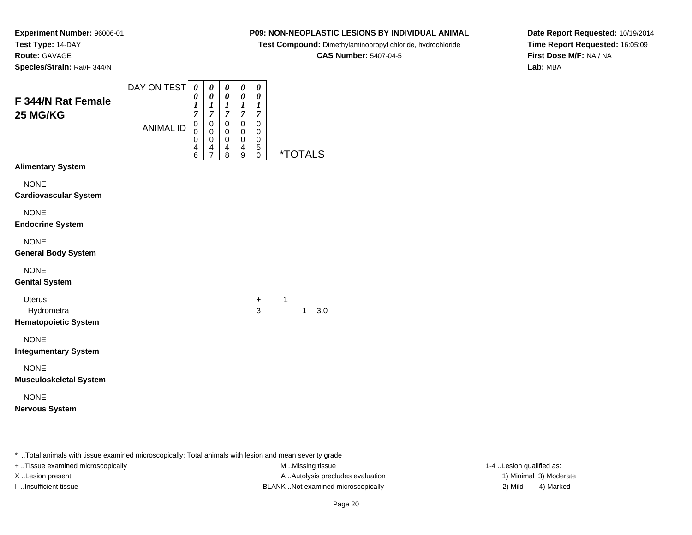## **P09: NON-NEOPLASTIC LESIONS BY INDIVIDUAL ANIMAL**

**Test Compound:** Dimethylaminopropyl chloride, hydrochloride

**CAS Number:** 5407-04-5

 $\overline{\phantom{0}}$ 

**Date Report Requested:** 10/19/2014**Time Report Requested:** 16:05:09**First Dose M/F:** NA / NA**Lab:** MBA

| F 344/N Rat Female<br>25 MG/KG                                                                     | DAY ON TEST      | 0<br>0<br>$\boldsymbol{l}$<br>$\overline{7}$ | 0<br>0<br>1<br>$\overline{7}$             | 0<br>0<br>1<br>$\overline{7}$ | 0<br>0<br>1<br>$\overline{7}$ | 0<br>$\pmb{\theta}$<br>1<br>$\boldsymbol{7}$ |                       |              |     |
|----------------------------------------------------------------------------------------------------|------------------|----------------------------------------------|-------------------------------------------|-------------------------------|-------------------------------|----------------------------------------------|-----------------------|--------------|-----|
|                                                                                                    | <b>ANIMAL ID</b> | $\mathsf 0$<br>$\Omega$<br>0<br>4<br>6       | $\mathbf 0$<br>0<br>$\mathbf 0$<br>4<br>7 | 0<br>0<br>0<br>4<br>8         | 0<br>0<br>0<br>4<br>9         | 0<br>0<br>0<br>5<br>0                        | <i><b>*TOTALS</b></i> |              |     |
| <b>Alimentary System</b>                                                                           |                  |                                              |                                           |                               |                               |                                              |                       |              |     |
| <b>NONE</b><br><b>Cardiovascular System</b>                                                        |                  |                                              |                                           |                               |                               |                                              |                       |              |     |
| <b>NONE</b><br><b>Endocrine System</b>                                                             |                  |                                              |                                           |                               |                               |                                              |                       |              |     |
| <b>NONE</b><br><b>General Body System</b>                                                          |                  |                                              |                                           |                               |                               |                                              |                       |              |     |
| <b>NONE</b><br><b>Genital System</b>                                                               |                  |                                              |                                           |                               |                               |                                              |                       |              |     |
| <b>Uterus</b><br>Hydrometra<br><b>Hematopoietic System</b>                                         |                  |                                              |                                           |                               |                               | +<br>3                                       | 1                     | $\mathbf{1}$ | 3.0 |
| <b>NONE</b><br><b>Integumentary System</b>                                                         |                  |                                              |                                           |                               |                               |                                              |                       |              |     |
| <b>NONE</b><br><b>Musculoskeletal System</b>                                                       |                  |                                              |                                           |                               |                               |                                              |                       |              |     |
| <b>NONE</b><br><b>Nervous System</b>                                                               |                  |                                              |                                           |                               |                               |                                              |                       |              |     |
|                                                                                                    |                  |                                              |                                           |                               |                               |                                              |                       |              |     |
| . Tatal and salah milik tigama amasala salas kang sagata dhin Tatal and salamah milik bagian ang d |                  |                                              |                                           |                               |                               |                                              |                       |              |     |

..Total animals with tissue examined microscopically; Total animals with lesion and mean severity grade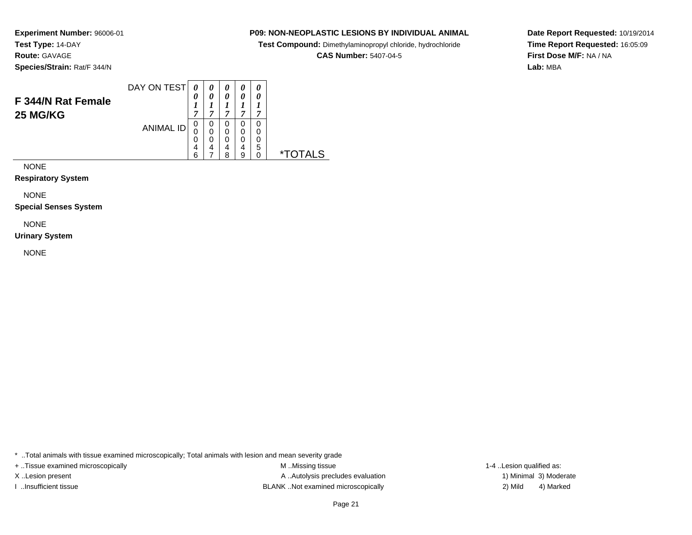### **P09: NON-NEOPLASTIC LESIONS BY INDIVIDUAL ANIMAL**

**Test Compound:** Dimethylaminopropyl chloride, hydrochloride

**CAS Number:** 5407-04-5

**Date Report Requested:** 10/19/2014**Time Report Requested:** 16:05:09**First Dose M/F:** NA / NA**Lab:** MBA

|                                | DAY ON TEST      |             |        | 0           | 0      | 0 |    |
|--------------------------------|------------------|-------------|--------|-------------|--------|---|----|
| F 344/N Rat Female<br>25 MG/KG |                  | 0<br>−      | 0<br>~ | 0<br>A      | 0<br>~ | ~ |    |
|                                | <b>ANIMAL ID</b> | 0<br>0<br>0 | 0      | 0<br>0<br>0 |        |   |    |
|                                |                  | 4<br>6      | 4      | 4<br>я      | 4      | 5 | ×. |

NONE

**Respiratory System**

NONE

**Special Senses System**

NONE

**Urinary System**

NONE

\* ..Total animals with tissue examined microscopically; Total animals with lesion and mean severity grade

+ ..Tissue examined microscopically examined microscopically examined as:  $M$  ..Missing tissue 1-4 ..Lesion qualified as:

X..Lesion present **A ..Autolysis precludes evaluation** A ..Autolysis precludes evaluation 1) Minimal 3) Moderate I ..Insufficient tissue BLANK ..Not examined microscopically 2) Mild 4) Marked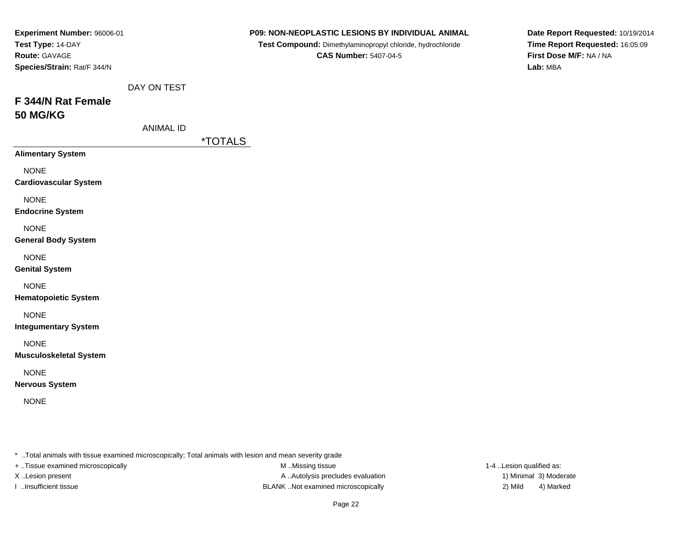| Experiment Number: 96006-01                  |                  | P09: NON-NEOPLASTIC LESIONS BY INDIVIDUAL ANIMAL                                                                                                                                                                              | Date Report Requested: 10/19/2014   |
|----------------------------------------------|------------------|-------------------------------------------------------------------------------------------------------------------------------------------------------------------------------------------------------------------------------|-------------------------------------|
| Test Type: 14-DAY                            |                  | Test Compound: Dimethylaminopropyl chloride, hydrochloride                                                                                                                                                                    | Time Report Requested: 16:05:09     |
| Route: GAVAGE<br>Species/Strain: Rat/F 344/N |                  | <b>CAS Number: 5407-04-5</b>                                                                                                                                                                                                  | First Dose M/F: NA / NA<br>Lab: MBA |
|                                              |                  |                                                                                                                                                                                                                               |                                     |
|                                              | DAY ON TEST      |                                                                                                                                                                                                                               |                                     |
| F 344/N Rat Female                           |                  |                                                                                                                                                                                                                               |                                     |
| <b>50 MG/KG</b>                              |                  |                                                                                                                                                                                                                               |                                     |
|                                              | <b>ANIMAL ID</b> |                                                                                                                                                                                                                               |                                     |
|                                              |                  | <i><b>*TOTALS</b></i>                                                                                                                                                                                                         |                                     |
| <b>Alimentary System</b>                     |                  |                                                                                                                                                                                                                               |                                     |
| <b>NONE</b>                                  |                  |                                                                                                                                                                                                                               |                                     |
| <b>Cardiovascular System</b>                 |                  |                                                                                                                                                                                                                               |                                     |
| <b>NONE</b>                                  |                  |                                                                                                                                                                                                                               |                                     |
| <b>Endocrine System</b>                      |                  |                                                                                                                                                                                                                               |                                     |
| <b>NONE</b>                                  |                  |                                                                                                                                                                                                                               |                                     |
| <b>General Body System</b>                   |                  |                                                                                                                                                                                                                               |                                     |
| <b>NONE</b>                                  |                  |                                                                                                                                                                                                                               |                                     |
| <b>Genital System</b>                        |                  |                                                                                                                                                                                                                               |                                     |
|                                              |                  |                                                                                                                                                                                                                               |                                     |
| <b>NONE</b><br><b>Hematopoietic System</b>   |                  |                                                                                                                                                                                                                               |                                     |
|                                              |                  |                                                                                                                                                                                                                               |                                     |
| <b>NONE</b>                                  |                  |                                                                                                                                                                                                                               |                                     |
| <b>Integumentary System</b>                  |                  |                                                                                                                                                                                                                               |                                     |
| <b>NONE</b>                                  |                  |                                                                                                                                                                                                                               |                                     |
| <b>Musculoskeletal System</b>                |                  |                                                                                                                                                                                                                               |                                     |
| <b>NONE</b>                                  |                  |                                                                                                                                                                                                                               |                                     |
| <b>Nervous System</b>                        |                  |                                                                                                                                                                                                                               |                                     |
| <b>NONE</b>                                  |                  |                                                                                                                                                                                                                               |                                     |
|                                              |                  |                                                                                                                                                                                                                               |                                     |
|                                              |                  |                                                                                                                                                                                                                               |                                     |
|                                              |                  |                                                                                                                                                                                                                               |                                     |
|                                              |                  | . The contract contract of the contract of the contract of the state of the contract of the contract of the contract of the contract of the contract of the contract of the contract of the contract of the contract of the c |                                     |

+ ..Tissue examined microscopically

M ..Missing tissue X..Lesion present **A ..Autolysis precludes evaluation** A ..Autolysis precludes evaluation 1) Minimal 3) Moderate I ..Insufficient tissue BLANK ..Not examined microscopically 2) Mild 4) Marked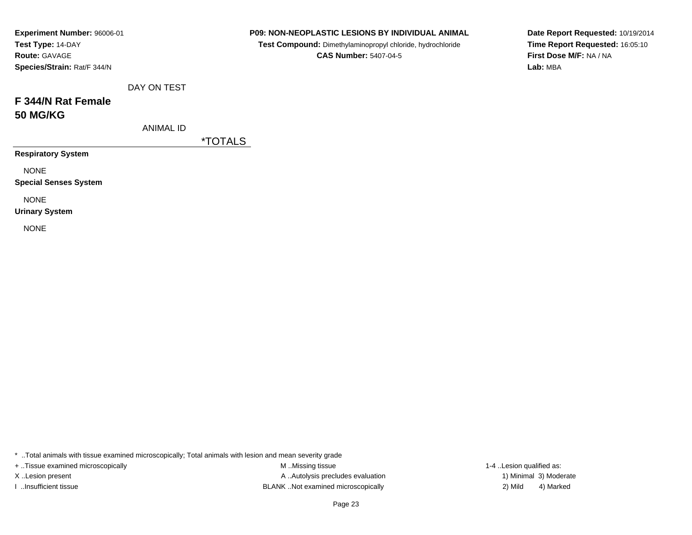| Experiment Number: 96006-01 |
|-----------------------------|
| Test Type: 14-DAY           |
| <b>Route: GAVAGE</b>        |
| Species/Strain: Rat/F 344/N |

**Test Compound:** Dimethylaminopropyl chloride, hydrochloride**CAS Number:** 5407-04-5

**Date Report Requested:** 10/19/2014**Time Report Requested:** 16:05:10**First Dose M/F:** NA / NA**Lab:** MBA

| $\overline{a}$ | $\overline{\phantom{a}}$ |  |  |
|----------------|--------------------------|--|--|

# **F 344/N Rat Female50 MG/KG**

ANIMAL ID

DAY ON TEST

\*TOTALS

**Respiratory System**

NONE

**Special Senses System**

NONE

**Urinary System**

NONE

\* ..Total animals with tissue examined microscopically; Total animals with lesion and mean severity grade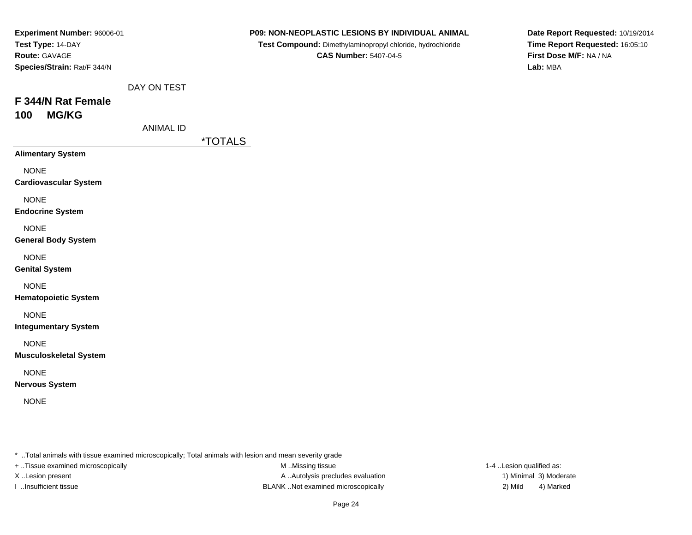| Experiment Number: 96006-01                  |                  |                       | P09: NON-NEOPLASTIC LESIONS BY INDIVIDUAL ANIMAL           | Date Report Requested: 10/19/2014   |
|----------------------------------------------|------------------|-----------------------|------------------------------------------------------------|-------------------------------------|
| Test Type: 14-DAY                            |                  |                       | Test Compound: Dimethylaminopropyl chloride, hydrochloride | Time Report Requested: 16:05:10     |
| Route: GAVAGE<br>Species/Strain: Rat/F 344/N |                  |                       | <b>CAS Number: 5407-04-5</b>                               | First Dose M/F: NA / NA<br>Lab: MBA |
|                                              |                  |                       |                                                            |                                     |
|                                              | DAY ON TEST      |                       |                                                            |                                     |
| F 344/N Rat Female                           |                  |                       |                                                            |                                     |
| <b>MG/KG</b><br>100                          |                  |                       |                                                            |                                     |
|                                              | <b>ANIMAL ID</b> |                       |                                                            |                                     |
|                                              |                  | <i><b>*TOTALS</b></i> |                                                            |                                     |
| <b>Alimentary System</b>                     |                  |                       |                                                            |                                     |
| <b>NONE</b>                                  |                  |                       |                                                            |                                     |
| <b>Cardiovascular System</b>                 |                  |                       |                                                            |                                     |
| <b>NONE</b>                                  |                  |                       |                                                            |                                     |
| <b>Endocrine System</b>                      |                  |                       |                                                            |                                     |
| <b>NONE</b>                                  |                  |                       |                                                            |                                     |
| <b>General Body System</b>                   |                  |                       |                                                            |                                     |
| <b>NONE</b>                                  |                  |                       |                                                            |                                     |
| <b>Genital System</b>                        |                  |                       |                                                            |                                     |
| <b>NONE</b>                                  |                  |                       |                                                            |                                     |
| <b>Hematopoietic System</b>                  |                  |                       |                                                            |                                     |
| <b>NONE</b>                                  |                  |                       |                                                            |                                     |
| <b>Integumentary System</b>                  |                  |                       |                                                            |                                     |
| <b>NONE</b>                                  |                  |                       |                                                            |                                     |
| <b>Musculoskeletal System</b>                |                  |                       |                                                            |                                     |
| <b>NONE</b>                                  |                  |                       |                                                            |                                     |
| <b>Nervous System</b>                        |                  |                       |                                                            |                                     |
| <b>NONE</b>                                  |                  |                       |                                                            |                                     |
|                                              |                  |                       |                                                            |                                     |
|                                              |                  |                       |                                                            |                                     |
|                                              |                  |                       |                                                            |                                     |
|                                              |                  |                       |                                                            |                                     |

+ ..Tissue examined microscopically

M ..Missing tissue X..Lesion present **A ..Autolysis precludes evaluation** A ..Autolysis precludes evaluation 1) Minimal 3) Moderate I ..Insufficient tissue BLANK ..Not examined microscopically 2) Mild 4) Marked